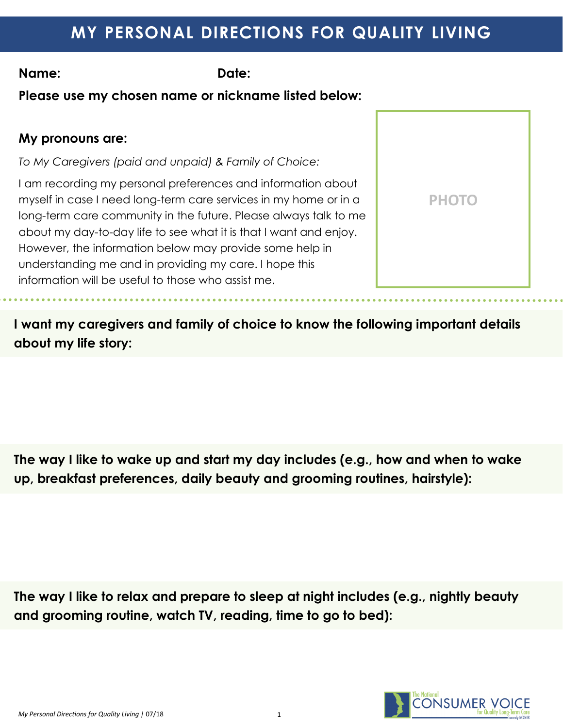# **MY PERSONAL DIRECTIONS FOR QUALITY LIVING**

**Name: Date:** 

**Please use my chosen name or nickname listed below:**

### **My pronouns are:**

*To My Caregivers (paid and unpaid) & Family of Choice:*

I am recording my personal preferences and information about myself in case I need long-term care services in my home or in a long-term care community in the future. Please always talk to me about my day-to-day life to see what it is that I want and enjoy. However, the information below may provide some help in understanding me and in providing my care. I hope this information will be useful to those who assist me.



**I want my caregivers and family of choice to know the following important details about my life story:**

**The way I like to wake up and start my day includes (e.g., how and when to wake up, breakfast preferences, daily beauty and grooming routines, hairstyle):**

**The way I like to relax and prepare to sleep at night includes (e.g., nightly beauty and grooming routine, watch TV, reading, time to go to bed):**

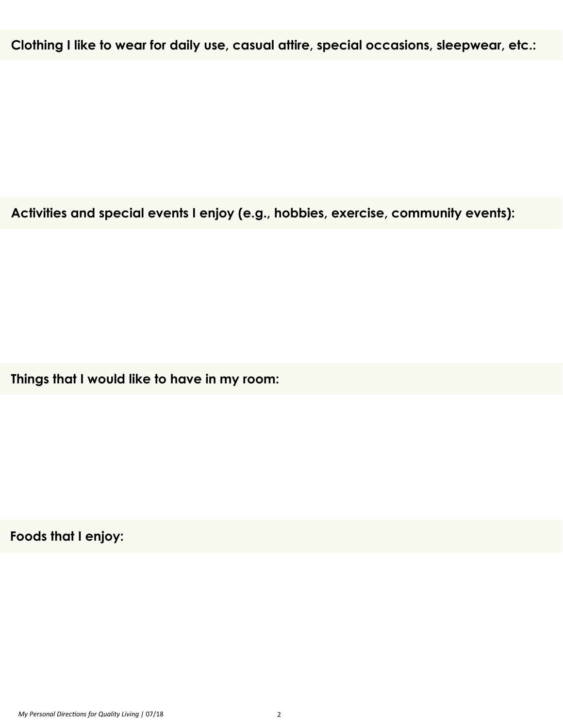**Clothing I like to wear for daily use, casual attire, special occasions, sleepwear, etc.:**

**Activities and special events I enjoy (e.g., hobbies, exercise, community events):**

**Things that I would like to have in my room:**

**Foods that I enjoy:**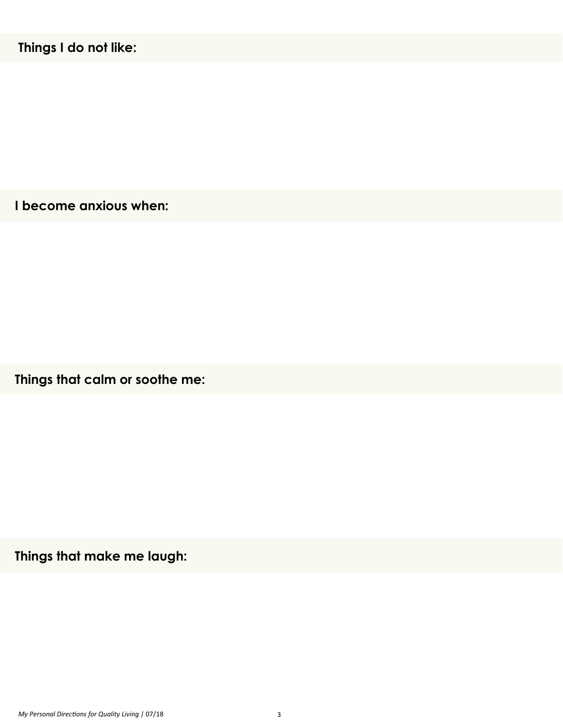**I become anxious when:**

**Things that calm or soothe me:**

**Things that make me laugh:**